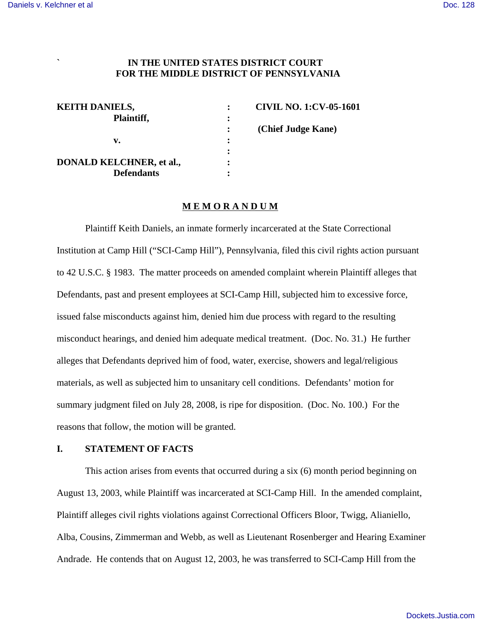## **` IN THE UNITED STATES DISTRICT COURT FOR THE MIDDLE DISTRICT OF PENNSYLVANIA**

| <b>KEITH DANIELS,</b>           |   | <b>CIVIL NO. 1:CV-05-1601</b> |
|---------------------------------|---|-------------------------------|
| Plaintiff,                      | : |                               |
|                                 |   | (Chief Judge Kane)            |
| v.                              | ٠ |                               |
|                                 |   |                               |
| <b>DONALD KELCHNER, et al.,</b> | ٠ |                               |
| <b>Defendants</b>               | ٠ |                               |

#### **M E M O R A N D U M**

Plaintiff Keith Daniels, an inmate formerly incarcerated at the State Correctional Institution at Camp Hill ("SCI-Camp Hill"), Pennsylvania, filed this civil rights action pursuant to 42 U.S.C. § 1983. The matter proceeds on amended complaint wherein Plaintiff alleges that Defendants, past and present employees at SCI-Camp Hill, subjected him to excessive force, issued false misconducts against him, denied him due process with regard to the resulting misconduct hearings, and denied him adequate medical treatment. (Doc. No. 31.) He further alleges that Defendants deprived him of food, water, exercise, showers and legal/religious materials, as well as subjected him to unsanitary cell conditions. Defendants' motion for summary judgment filed on July 28, 2008, is ripe for disposition. (Doc. No. 100.) For the reasons that follow, the motion will be granted.

## **I. STATEMENT OF FACTS**

This action arises from events that occurred during a six (6) month period beginning on August 13, 2003, while Plaintiff was incarcerated at SCI-Camp Hill. In the amended complaint, Plaintiff alleges civil rights violations against Correctional Officers Bloor, Twigg, Alianiello, Alba, Cousins, Zimmerman and Webb, as well as Lieutenant Rosenberger and Hearing Examiner Andrade. He contends that on August 12, 2003, he was transferred to SCI-Camp Hill from the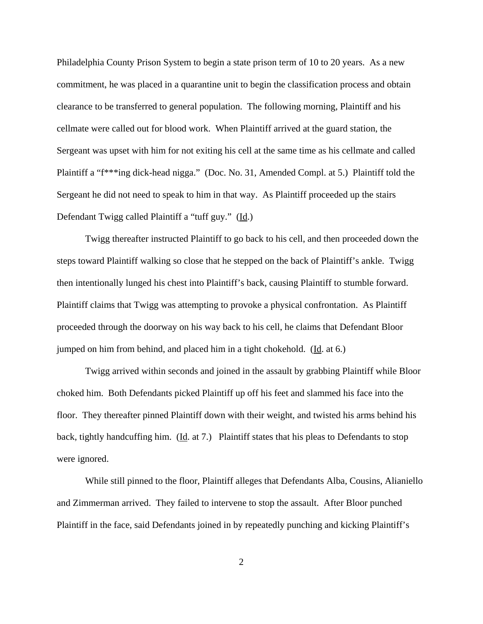Philadelphia County Prison System to begin a state prison term of 10 to 20 years. As a new commitment, he was placed in a quarantine unit to begin the classification process and obtain clearance to be transferred to general population. The following morning, Plaintiff and his cellmate were called out for blood work. When Plaintiff arrived at the guard station, the Sergeant was upset with him for not exiting his cell at the same time as his cellmate and called Plaintiff a "f\*\*\*ing dick-head nigga." (Doc. No. 31, Amended Compl. at 5.) Plaintiff told the Sergeant he did not need to speak to him in that way. As Plaintiff proceeded up the stairs Defendant Twigg called Plaintiff a "tuff guy." (Id.)

Twigg thereafter instructed Plaintiff to go back to his cell, and then proceeded down the steps toward Plaintiff walking so close that he stepped on the back of Plaintiff's ankle. Twigg then intentionally lunged his chest into Plaintiff's back, causing Plaintiff to stumble forward. Plaintiff claims that Twigg was attempting to provoke a physical confrontation. As Plaintiff proceeded through the doorway on his way back to his cell, he claims that Defendant Bloor jumped on him from behind, and placed him in a tight chokehold. (Id. at 6.)

Twigg arrived within seconds and joined in the assault by grabbing Plaintiff while Bloor choked him. Both Defendants picked Plaintiff up off his feet and slammed his face into the floor. They thereafter pinned Plaintiff down with their weight, and twisted his arms behind his back, tightly handcuffing him. (Id. at 7.) Plaintiff states that his pleas to Defendants to stop were ignored.

While still pinned to the floor, Plaintiff alleges that Defendants Alba, Cousins, Alianiello and Zimmerman arrived. They failed to intervene to stop the assault. After Bloor punched Plaintiff in the face, said Defendants joined in by repeatedly punching and kicking Plaintiff's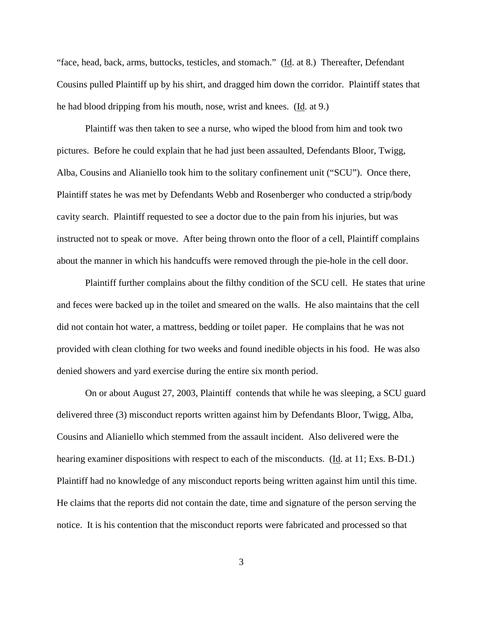"face, head, back, arms, buttocks, testicles, and stomach." (Id. at 8.) Thereafter, Defendant Cousins pulled Plaintiff up by his shirt, and dragged him down the corridor. Plaintiff states that he had blood dripping from his mouth, nose, wrist and knees. (Id. at 9.)

Plaintiff was then taken to see a nurse, who wiped the blood from him and took two pictures. Before he could explain that he had just been assaulted, Defendants Bloor, Twigg, Alba, Cousins and Alianiello took him to the solitary confinement unit ("SCU"). Once there, Plaintiff states he was met by Defendants Webb and Rosenberger who conducted a strip/body cavity search. Plaintiff requested to see a doctor due to the pain from his injuries, but was instructed not to speak or move. After being thrown onto the floor of a cell, Plaintiff complains about the manner in which his handcuffs were removed through the pie-hole in the cell door.

Plaintiff further complains about the filthy condition of the SCU cell. He states that urine and feces were backed up in the toilet and smeared on the walls. He also maintains that the cell did not contain hot water, a mattress, bedding or toilet paper. He complains that he was not provided with clean clothing for two weeks and found inedible objects in his food. He was also denied showers and yard exercise during the entire six month period.

On or about August 27, 2003, Plaintiff contends that while he was sleeping, a SCU guard delivered three (3) misconduct reports written against him by Defendants Bloor, Twigg, Alba, Cousins and Alianiello which stemmed from the assault incident. Also delivered were the hearing examiner dispositions with respect to each of the misconducts. (Id. at 11; Exs. B-D1.) Plaintiff had no knowledge of any misconduct reports being written against him until this time. He claims that the reports did not contain the date, time and signature of the person serving the notice. It is his contention that the misconduct reports were fabricated and processed so that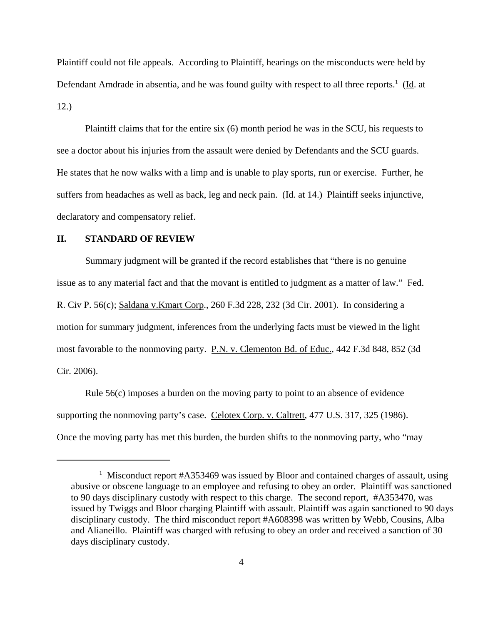Plaintiff could not file appeals. According to Plaintiff, hearings on the misconducts were held by Defendant Amdrade in absentia, and he was found guilty with respect to all three reports.<sup>1</sup> (Id. at 12.)

Plaintiff claims that for the entire six (6) month period he was in the SCU, his requests to see a doctor about his injuries from the assault were denied by Defendants and the SCU guards. He states that he now walks with a limp and is unable to play sports, run or exercise. Further, he suffers from headaches as well as back, leg and neck pain. (Id. at 14.) Plaintiff seeks injunctive, declaratory and compensatory relief.

## **II. STANDARD OF REVIEW**

Summary judgment will be granted if the record establishes that "there is no genuine issue as to any material fact and that the movant is entitled to judgment as a matter of law." Fed. R. Civ P. 56(c); Saldana v.Kmart Corp., 260 F.3d 228, 232 (3d Cir. 2001). In considering a motion for summary judgment, inferences from the underlying facts must be viewed in the light most favorable to the nonmoving party. P.N. v. Clementon Bd. of Educ., 442 F.3d 848, 852 (3d Cir. 2006).

Rule 56(c) imposes a burden on the moving party to point to an absence of evidence supporting the nonmoving party's case. Celotex Corp. v. Caltrett, 477 U.S. 317, 325 (1986). Once the moving party has met this burden, the burden shifts to the nonmoving party, who "may

<sup>&</sup>lt;sup>1</sup> Misconduct report #A353469 was issued by Bloor and contained charges of assault, using abusive or obscene language to an employee and refusing to obey an order. Plaintiff was sanctioned to 90 days disciplinary custody with respect to this charge. The second report, #A353470, was issued by Twiggs and Bloor charging Plaintiff with assault. Plaintiff was again sanctioned to 90 days disciplinary custody. The third misconduct report #A608398 was written by Webb, Cousins, Alba and Alianeillo. Plaintiff was charged with refusing to obey an order and received a sanction of 30 days disciplinary custody.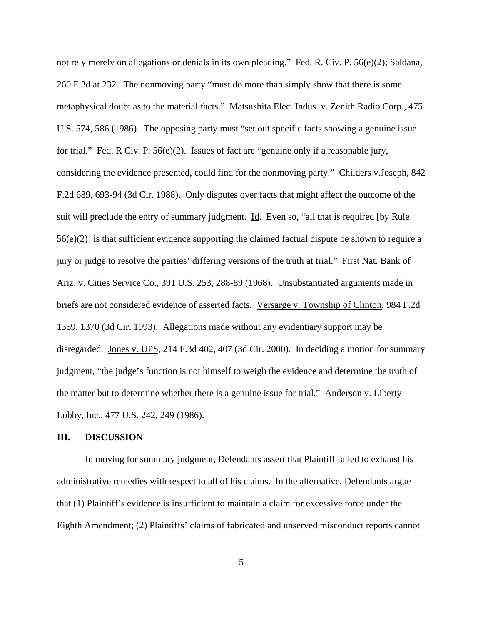not rely merely on allegations or denials in its own pleading." Fed. R. Civ. P. 56(e)(2); Saldana, 260 F.3d at 232. The nonmoving party "must do more than simply show that there is some metaphysical doubt as to the material facts." Matsushita Elec. Indus. v. Zenith Radio Corp., 475 U.S. 574, 586 (1986). The opposing party must "set out specific facts showing a genuine issue for trial." Fed. R Civ. P. 56(e)(2). Issues of fact are "genuine only if a reasonable jury, considering the evidence presented, could find for the nonmoving party." Childers v.Joseph, 842 F.2d 689, 693-94 (3d Cir. 1988). Only disputes over facts that might affect the outcome of the suit will preclude the entry of summary judgment. Id. Even so, "all that is required [by Rule 56(e)(2)] is that sufficient evidence supporting the claimed factual dispute be shown to require a jury or judge to resolve the parties' differing versions of the truth at trial." First Nat. Bank of Ariz. v. Cities Service Co., 391 U.S. 253, 288-89 (1968). Unsubstantiated arguments made in briefs are not considered evidence of asserted facts. Versarge v. Township of Clinton, 984 F.2d 1359, 1370 (3d Cir. 1993). Allegations made without any evidentiary support may be disregarded. Jones v. UPS, 214 F.3d 402, 407 (3d Cir. 2000). In deciding a motion for summary judgment, "the judge's function is not himself to weigh the evidence and determine the truth of the matter but to determine whether there is a genuine issue for trial." Anderson v. Liberty Lobby, Inc., 477 U.S. 242, 249 (1986).

#### **III. DISCUSSION**

In moving for summary judgment, Defendants assert that Plaintiff failed to exhaust his administrative remedies with respect to all of his claims. In the alternative, Defendants argue that (1) Plaintiff's evidence is insufficient to maintain a claim for excessive force under the Eighth Amendment; (2) Plaintiffs' claims of fabricated and unserved misconduct reports cannot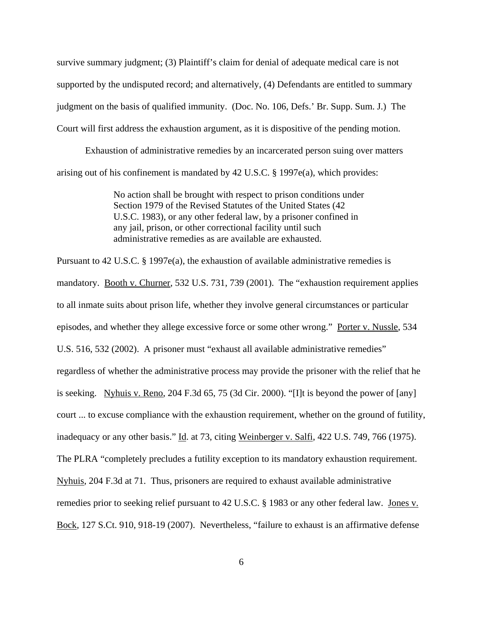survive summary judgment; (3) Plaintiff's claim for denial of adequate medical care is not supported by the undisputed record; and alternatively, (4) Defendants are entitled to summary judgment on the basis of qualified immunity. (Doc. No. 106, Defs.' Br. Supp. Sum. J.) The Court will first address the exhaustion argument, as it is dispositive of the pending motion.

Exhaustion of administrative remedies by an incarcerated person suing over matters arising out of his confinement is mandated by 42 U.S.C. § 1997e(a), which provides:

> No action shall be brought with respect to prison conditions under Section 1979 of the Revised Statutes of the United States (42 U.S.C. 1983), or any other federal law, by a prisoner confined in any jail, prison, or other correctional facility until such administrative remedies as are available are exhausted.

Pursuant to 42 U.S.C. § 1997e(a), the exhaustion of available administrative remedies is mandatory. Booth v. Churner, 532 U.S. 731, 739 (2001). The "exhaustion requirement applies to all inmate suits about prison life, whether they involve general circumstances or particular episodes, and whether they allege excessive force or some other wrong." Porter v. Nussle, 534 U.S. 516, 532 (2002). A prisoner must "exhaust all available administrative remedies" regardless of whether the administrative process may provide the prisoner with the relief that he is seeking. Nyhuis v. Reno, 204 F.3d 65, 75 (3d Cir. 2000). "[I]t is beyond the power of [any] court ... to excuse compliance with the exhaustion requirement, whether on the ground of futility, inadequacy or any other basis." Id. at 73, citing Weinberger v. Salfi, 422 U.S. 749, 766 (1975). The PLRA "completely precludes a futility exception to its mandatory exhaustion requirement. Nyhuis, 204 F.3d at 71. Thus, prisoners are required to exhaust available administrative remedies prior to seeking relief pursuant to 42 U.S.C. § 1983 or any other federal law. Jones v. Bock, 127 S.Ct. 910, 918-19 (2007). Nevertheless, "failure to exhaust is an affirmative defense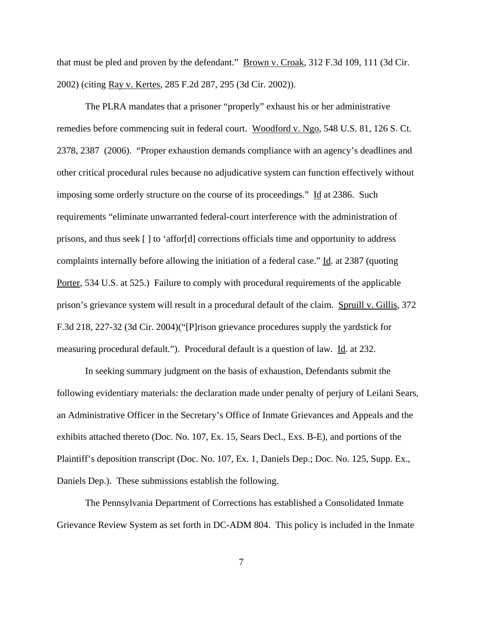that must be pled and proven by the defendant." Brown v. Croak, 312 F.3d 109, 111 (3d Cir. 2002) (citing Ray v. Kertes, 285 F.2d 287, 295 (3d Cir. 2002)).

The PLRA mandates that a prisoner "properly" exhaust his or her administrative remedies before commencing suit in federal court. Woodford v. Ngo, 548 U.S. 81, 126 S. Ct. 2378, 2387 (2006). "Proper exhaustion demands compliance with an agency's deadlines and other critical procedural rules because no adjudicative system can function effectively without imposing some orderly structure on the course of its proceedings." Id at 2386. Such requirements "eliminate unwarranted federal-court interference with the administration of prisons, and thus seek [ ] to 'affor[d] corrections officials time and opportunity to address complaints internally before allowing the initiation of a federal case." Id. at 2387 (quoting Porter, 534 U.S. at 525.) Failure to comply with procedural requirements of the applicable prison's grievance system will result in a procedural default of the claim. Spruill v. Gillis, 372 F.3d 218, 227-32 (3d Cir. 2004)("[P]rison grievance procedures supply the yardstick for measuring procedural default."). Procedural default is a question of law. Id. at 232.

In seeking summary judgment on the basis of exhaustion, Defendants submit the following evidentiary materials: the declaration made under penalty of perjury of Leilani Sears, an Administrative Officer in the Secretary's Office of Inmate Grievances and Appeals and the exhibits attached thereto (Doc. No. 107, Ex. 15, Sears Decl., Exs. B-E), and portions of the Plaintiff's deposition transcript (Doc. No. 107, Ex. 1, Daniels Dep.; Doc. No. 125, Supp. Ex., Daniels Dep.). These submissions establish the following.

The Pennsylvania Department of Corrections has established a Consolidated Inmate Grievance Review System as set forth in DC-ADM 804. This policy is included in the Inmate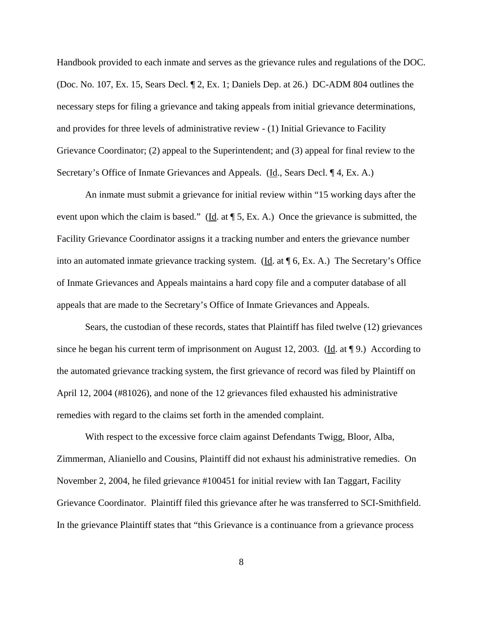Handbook provided to each inmate and serves as the grievance rules and regulations of the DOC. (Doc. No. 107, Ex. 15, Sears Decl. ¶ 2, Ex. 1; Daniels Dep. at 26.) DC-ADM 804 outlines the necessary steps for filing a grievance and taking appeals from initial grievance determinations, and provides for three levels of administrative review - (1) Initial Grievance to Facility Grievance Coordinator; (2) appeal to the Superintendent; and (3) appeal for final review to the Secretary's Office of Inmate Grievances and Appeals. (Id., Sears Decl. ¶ 4, Ex. A.)

An inmate must submit a grievance for initial review within "15 working days after the event upon which the claim is based." (Id. at  $\P$  5, Ex. A.) Once the grievance is submitted, the Facility Grievance Coordinator assigns it a tracking number and enters the grievance number into an automated inmate grievance tracking system. (Id. at ¶ 6, Ex. A.) The Secretary's Office of Inmate Grievances and Appeals maintains a hard copy file and a computer database of all appeals that are made to the Secretary's Office of Inmate Grievances and Appeals.

Sears, the custodian of these records, states that Plaintiff has filed twelve (12) grievances since he began his current term of imprisonment on August 12, 2003. (Id. at  $\P$ 9.) According to the automated grievance tracking system, the first grievance of record was filed by Plaintiff on April 12, 2004 (#81026), and none of the 12 grievances filed exhausted his administrative remedies with regard to the claims set forth in the amended complaint.

With respect to the excessive force claim against Defendants Twigg, Bloor, Alba, Zimmerman, Alianiello and Cousins, Plaintiff did not exhaust his administrative remedies. On November 2, 2004, he filed grievance #100451 for initial review with Ian Taggart, Facility Grievance Coordinator. Plaintiff filed this grievance after he was transferred to SCI-Smithfield. In the grievance Plaintiff states that "this Grievance is a continuance from a grievance process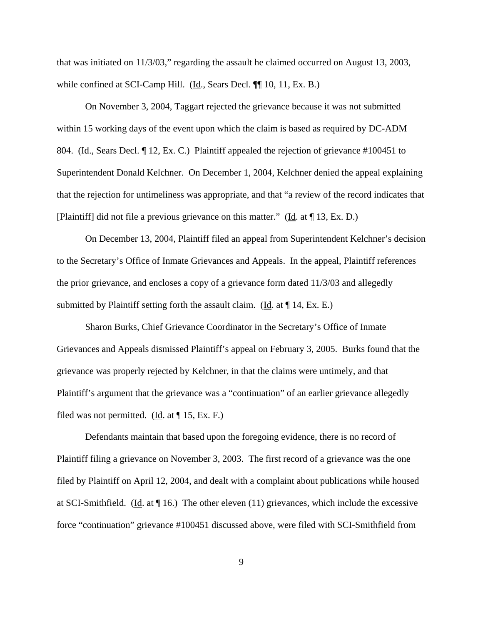that was initiated on 11/3/03," regarding the assault he claimed occurred on August 13, 2003, while confined at SCI-Camp Hill. (Id., Sears Decl. ¶ 10, 11, Ex. B.)

On November 3, 2004, Taggart rejected the grievance because it was not submitted within 15 working days of the event upon which the claim is based as required by DC-ADM 804. (Id., Sears Decl. ¶ 12, Ex. C.) Plaintiff appealed the rejection of grievance #100451 to Superintendent Donald Kelchner. On December 1, 2004, Kelchner denied the appeal explaining that the rejection for untimeliness was appropriate, and that "a review of the record indicates that [Plaintiff] did not file a previous grievance on this matter." (Id. at ¶ 13, Ex. D.)

On December 13, 2004, Plaintiff filed an appeal from Superintendent Kelchner's decision to the Secretary's Office of Inmate Grievances and Appeals. In the appeal, Plaintiff references the prior grievance, and encloses a copy of a grievance form dated 11/3/03 and allegedly submitted by Plaintiff setting forth the assault claim. ( $\underline{Id}$ . at  $\P$  14, Ex. E.)

Sharon Burks, Chief Grievance Coordinator in the Secretary's Office of Inmate Grievances and Appeals dismissed Plaintiff's appeal on February 3, 2005. Burks found that the grievance was properly rejected by Kelchner, in that the claims were untimely, and that Plaintiff's argument that the grievance was a "continuation" of an earlier grievance allegedly filed was not permitted. (Id. at  $\P$  15, Ex. F.)

Defendants maintain that based upon the foregoing evidence, there is no record of Plaintiff filing a grievance on November 3, 2003. The first record of a grievance was the one filed by Plaintiff on April 12, 2004, and dealt with a complaint about publications while housed at SCI-Smithfield. (Id. at ¶ 16.) The other eleven (11) grievances, which include the excessive force "continuation" grievance #100451 discussed above, were filed with SCI-Smithfield from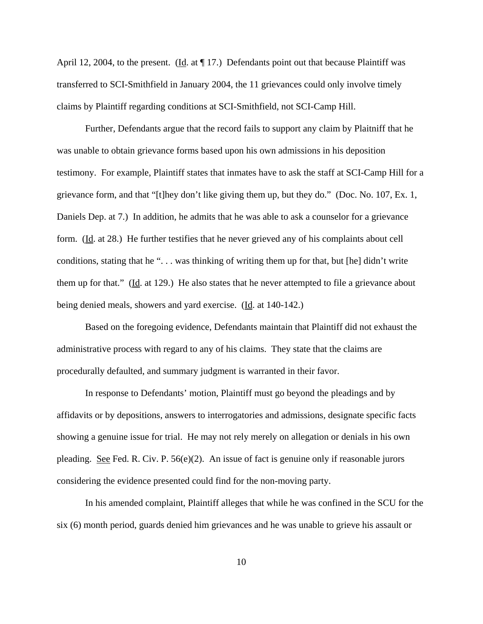April 12, 2004, to the present. (Id. at  $\P$  17.) Defendants point out that because Plaintiff was transferred to SCI-Smithfield in January 2004, the 11 grievances could only involve timely claims by Plaintiff regarding conditions at SCI-Smithfield, not SCI-Camp Hill.

Further, Defendants argue that the record fails to support any claim by Plaitniff that he was unable to obtain grievance forms based upon his own admissions in his deposition testimony. For example, Plaintiff states that inmates have to ask the staff at SCI-Camp Hill for a grievance form, and that "[t]hey don't like giving them up, but they do." (Doc. No. 107, Ex. 1, Daniels Dep. at 7.) In addition, he admits that he was able to ask a counselor for a grievance form. (Id. at 28.) He further testifies that he never grieved any of his complaints about cell conditions, stating that he ". . . was thinking of writing them up for that, but [he] didn't write them up for that." (Id. at 129.) He also states that he never attempted to file a grievance about being denied meals, showers and yard exercise. (Id. at 140-142.)

Based on the foregoing evidence, Defendants maintain that Plaintiff did not exhaust the administrative process with regard to any of his claims. They state that the claims are procedurally defaulted, and summary judgment is warranted in their favor.

In response to Defendants' motion, Plaintiff must go beyond the pleadings and by affidavits or by depositions, answers to interrogatories and admissions, designate specific facts showing a genuine issue for trial. He may not rely merely on allegation or denials in his own pleading. See Fed. R. Civ. P. 56(e)(2). An issue of fact is genuine only if reasonable jurors considering the evidence presented could find for the non-moving party.

In his amended complaint, Plaintiff alleges that while he was confined in the SCU for the six (6) month period, guards denied him grievances and he was unable to grieve his assault or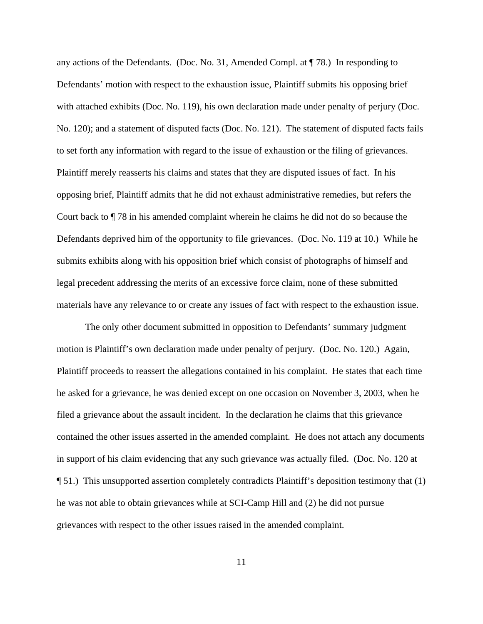any actions of the Defendants. (Doc. No. 31, Amended Compl. at ¶ 78.) In responding to Defendants' motion with respect to the exhaustion issue, Plaintiff submits his opposing brief with attached exhibits (Doc. No. 119), his own declaration made under penalty of perjury (Doc. No. 120); and a statement of disputed facts (Doc. No. 121). The statement of disputed facts fails to set forth any information with regard to the issue of exhaustion or the filing of grievances. Plaintiff merely reasserts his claims and states that they are disputed issues of fact. In his opposing brief, Plaintiff admits that he did not exhaust administrative remedies, but refers the Court back to ¶ 78 in his amended complaint wherein he claims he did not do so because the Defendants deprived him of the opportunity to file grievances. (Doc. No. 119 at 10.) While he submits exhibits along with his opposition brief which consist of photographs of himself and legal precedent addressing the merits of an excessive force claim, none of these submitted materials have any relevance to or create any issues of fact with respect to the exhaustion issue.

The only other document submitted in opposition to Defendants' summary judgment motion is Plaintiff's own declaration made under penalty of perjury. (Doc. No. 120.) Again, Plaintiff proceeds to reassert the allegations contained in his complaint. He states that each time he asked for a grievance, he was denied except on one occasion on November 3, 2003, when he filed a grievance about the assault incident. In the declaration he claims that this grievance contained the other issues asserted in the amended complaint. He does not attach any documents in support of his claim evidencing that any such grievance was actually filed. (Doc. No. 120 at ¶ 51.) This unsupported assertion completely contradicts Plaintiff's deposition testimony that (1) he was not able to obtain grievances while at SCI-Camp Hill and (2) he did not pursue grievances with respect to the other issues raised in the amended complaint.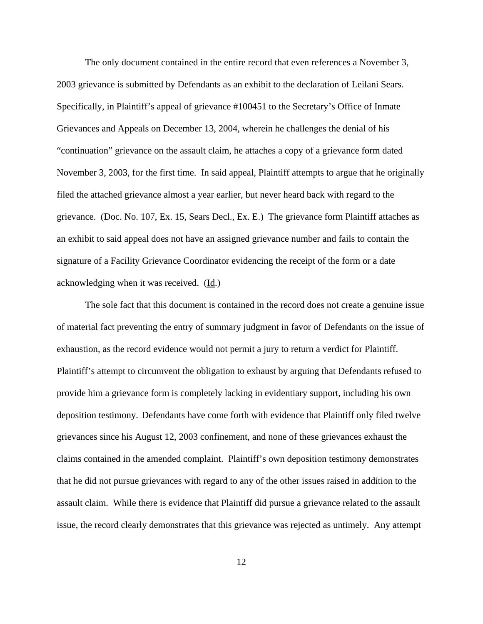The only document contained in the entire record that even references a November 3, 2003 grievance is submitted by Defendants as an exhibit to the declaration of Leilani Sears. Specifically, in Plaintiff's appeal of grievance #100451 to the Secretary's Office of Inmate Grievances and Appeals on December 13, 2004, wherein he challenges the denial of his "continuation" grievance on the assault claim, he attaches a copy of a grievance form dated November 3, 2003, for the first time. In said appeal, Plaintiff attempts to argue that he originally filed the attached grievance almost a year earlier, but never heard back with regard to the grievance. (Doc. No. 107, Ex. 15, Sears Decl., Ex. E.) The grievance form Plaintiff attaches as an exhibit to said appeal does not have an assigned grievance number and fails to contain the signature of a Facility Grievance Coordinator evidencing the receipt of the form or a date acknowledging when it was received. (Id.)

The sole fact that this document is contained in the record does not create a genuine issue of material fact preventing the entry of summary judgment in favor of Defendants on the issue of exhaustion, as the record evidence would not permit a jury to return a verdict for Plaintiff. Plaintiff's attempt to circumvent the obligation to exhaust by arguing that Defendants refused to provide him a grievance form is completely lacking in evidentiary support, including his own deposition testimony. Defendants have come forth with evidence that Plaintiff only filed twelve grievances since his August 12, 2003 confinement, and none of these grievances exhaust the claims contained in the amended complaint. Plaintiff's own deposition testimony demonstrates that he did not pursue grievances with regard to any of the other issues raised in addition to the assault claim. While there is evidence that Plaintiff did pursue a grievance related to the assault issue, the record clearly demonstrates that this grievance was rejected as untimely. Any attempt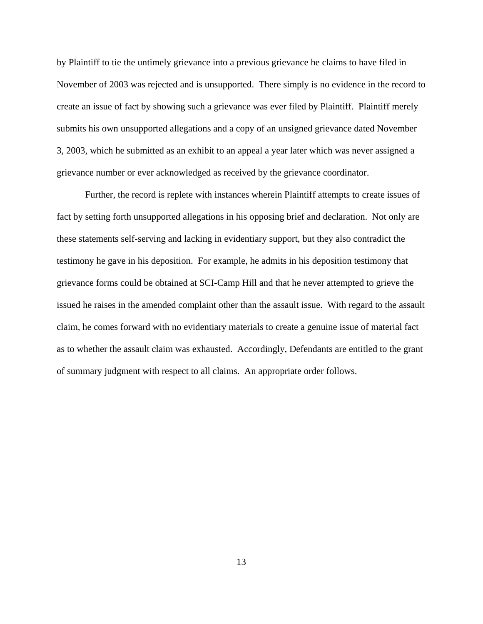by Plaintiff to tie the untimely grievance into a previous grievance he claims to have filed in November of 2003 was rejected and is unsupported. There simply is no evidence in the record to create an issue of fact by showing such a grievance was ever filed by Plaintiff. Plaintiff merely submits his own unsupported allegations and a copy of an unsigned grievance dated November 3, 2003, which he submitted as an exhibit to an appeal a year later which was never assigned a grievance number or ever acknowledged as received by the grievance coordinator.

Further, the record is replete with instances wherein Plaintiff attempts to create issues of fact by setting forth unsupported allegations in his opposing brief and declaration. Not only are these statements self-serving and lacking in evidentiary support, but they also contradict the testimony he gave in his deposition. For example, he admits in his deposition testimony that grievance forms could be obtained at SCI-Camp Hill and that he never attempted to grieve the issued he raises in the amended complaint other than the assault issue. With regard to the assault claim, he comes forward with no evidentiary materials to create a genuine issue of material fact as to whether the assault claim was exhausted. Accordingly, Defendants are entitled to the grant of summary judgment with respect to all claims. An appropriate order follows.